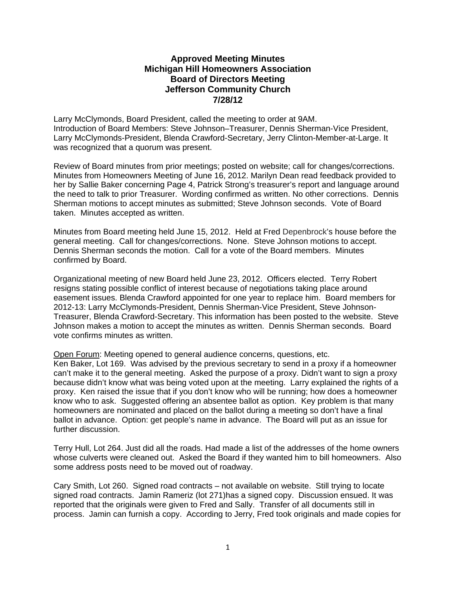# **Approved Meeting Minutes Michigan Hill Homeowners Association Board of Directors Meeting Jefferson Community Church 7/28/12**

Larry McClymonds, Board President, called the meeting to order at 9AM. Introduction of Board Members: Steve Johnson–Treasurer, Dennis Sherman-Vice President, Larry McClymonds-President, Blenda Crawford-Secretary, Jerry Clinton-Member-at-Large. It was recognized that a quorum was present.

Review of Board minutes from prior meetings; posted on website; call for changes/corrections. Minutes from Homeowners Meeting of June 16, 2012. Marilyn Dean read feedback provided to her by Sallie Baker concerning Page 4, Patrick Strong's treasurer's report and language around the need to talk to prior Treasurer. Wording confirmed as written. No other corrections. Dennis Sherman motions to accept minutes as submitted; Steve Johnson seconds. Vote of Board taken. Minutes accepted as written.

Minutes from Board meeting held June 15, 2012. Held at Fred Depenbrock's house before the general meeting. Call for changes/corrections. None. Steve Johnson motions to accept. Dennis Sherman seconds the motion. Call for a vote of the Board members. Minutes confirmed by Board.

Organizational meeting of new Board held June 23, 2012. Officers elected. Terry Robert resigns stating possible conflict of interest because of negotiations taking place around easement issues. Blenda Crawford appointed for one year to replace him. Board members for 2012-13: Larry McClymonds-President, Dennis Sherman-Vice President, Steve Johnson-Treasurer, Blenda Crawford-Secretary. This information has been posted to the website. Steve Johnson makes a motion to accept the minutes as written. Dennis Sherman seconds. Board vote confirms minutes as written.

Open Forum: Meeting opened to general audience concerns, questions, etc. Ken Baker, Lot 169. Was advised by the previous secretary to send in a proxy if a homeowner can't make it to the general meeting. Asked the purpose of a proxy. Didn't want to sign a proxy because didn't know what was being voted upon at the meeting. Larry explained the rights of a proxy. Ken raised the issue that if you don't know who will be running; how does a homeowner know who to ask. Suggested offering an absentee ballot as option. Key problem is that many homeowners are nominated and placed on the ballot during a meeting so don't have a final ballot in advance. Option: get people's name in advance. The Board will put as an issue for further discussion.

Terry Hull, Lot 264. Just did all the roads. Had made a list of the addresses of the home owners whose culverts were cleaned out. Asked the Board if they wanted him to bill homeowners. Also some address posts need to be moved out of roadway.

Cary Smith, Lot 260. Signed road contracts – not available on website. Still trying to locate signed road contracts. Jamin Rameriz (lot 271)has a signed copy. Discussion ensued. It was reported that the originals were given to Fred and Sally. Transfer of all documents still in process. Jamin can furnish a copy. According to Jerry, Fred took originals and made copies for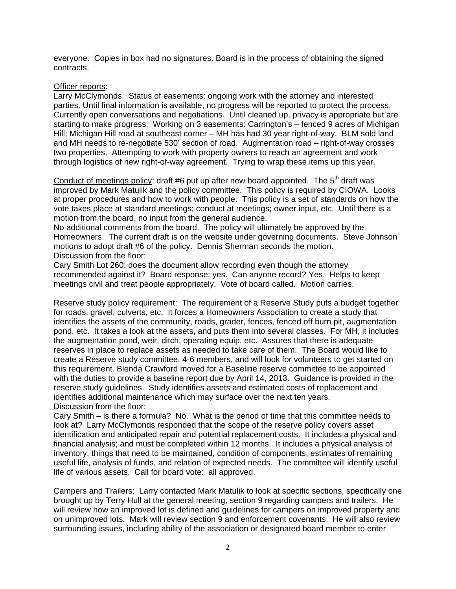everyone. Copies in box had no signatures. Board is in the process of obtaining the signed contracts.

#### Officer reports:

Larry McClymonds: Status of easements: ongoing work with the attorney and interested parties. Until final information is available, no progress will be reported to protect the process. Currently open conversations and negotiations. Until cleaned up, privacy is appropriate but are starting to make progress. Working on 3 easements: Carrington's – fenced 9 acres of Michigan Hill; Michigan Hill road at southeast corner – MH has had 30 year right-of-way. BLM sold land and MH needs to re-negotiate 530' section of road. Augmentation road – right-of-way crosses two properties. Attempting to work with property owners to reach an agreement and work through logistics of new right-of-way agreement. Trying to wrap these items up this year.

Conduct of meetings policy: draft #6 put up after new board appointed. The  $5<sup>th</sup>$  draft was improved by Mark Matulik and the policy committee. This policy is required by CIOWA. Looks at proper procedures and how to work with people. This policy is a set of standards on how the vote takes place at standard meetings; conduct at meetings; owner input, etc. Until there is a motion from the board, no input from the general audience.

No additional comments from the board. The policy will ultimately be approved by the Homeowners. The current draft is on the website under governing documents. Steve Johnson motions to adopt draft #6 of the policy. Dennis Sherman seconds the motion. Discussion from the floor:

Cary Smith Lot 260: does the document allow recording even though the attorney recommended against it? Board response: yes. Can anyone record? Yes. Helps to keep meetings civil and treat people appropriately. Vote of board called. Motion carries.

Reserve study policy requirement: The requirement of a Reserve Study puts a budget together for roads, gravel, culverts, etc. It forces a Homeowners Association to create a study that identifies the assets of the community, roads, grader, fences, fenced off burn pit, augmentation pond, etc. It takes a look at the assets, and puts them into several classes. For MH, it includes the augmentation pond, weir, ditch, operating equip, etc. Assures that there is adequate reserves in place to replace assets as needed to take care of them. The Board would like to create a Reserve study committee, 4-6 members, and will look for volunteers to get started on this requirement. Blenda Crawford moved for a Baseline reserve committee to be appointed with the duties to provide a baseline report due by April 14, 2013. Guidance is provided in the reserve study guidelines. Study identifies assets and estimated costs of replacement and identifies additional maintenance which may surface over the next ten years. Discussion from the floor:

Cary Smith – is there a formula? No. What is the period of time that this committee needs to look at? Larry McClymonds responded that the scope of the reserve policy covers asset identification and anticipated repair and potential replacement costs. It includes a physical and financial analysis; and must be completed within 12 months. It includes a physical analysis of inventory, things that need to be maintained, condition of components, estimates of remaining useful life, analysis of funds, and relation of expected needs. The committee will identify useful life of various assets. Call for board vote: all approved.

Campers and Trailers: Larry contacted Mark Matulik to look at specific sections, specifically one brought up by Terry Hull at the general meeting, section 9 regarding campers and trailers. He will review how an improved lot is defined and guidelines for campers on improved property and on unimproved lots. Mark will review section 9 and enforcement covenants. He will also review surrounding issues, including ability of the association or designated board member to enter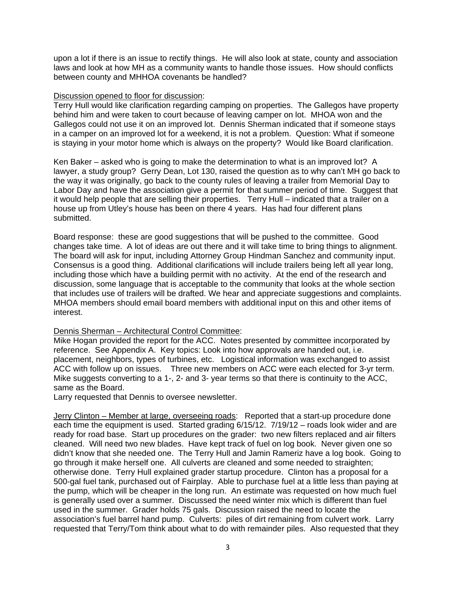upon a lot if there is an issue to rectify things. He will also look at state, county and association laws and look at how MH as a community wants to handle those issues. How should conflicts between county and MHHOA covenants be handled?

### Discussion opened to floor for discussion:

Terry Hull would like clarification regarding camping on properties. The Gallegos have property behind him and were taken to court because of leaving camper on lot. MHOA won and the Gallegos could not use it on an improved lot. Dennis Sherman indicated that if someone stays in a camper on an improved lot for a weekend, it is not a problem. Question: What if someone is staying in your motor home which is always on the property? Would like Board clarification.

Ken Baker – asked who is going to make the determination to what is an improved lot? A lawyer, a study group? Gerry Dean, Lot 130, raised the question as to why can't MH go back to the way it was originally, go back to the county rules of leaving a trailer from Memorial Day to Labor Day and have the association give a permit for that summer period of time. Suggest that it would help people that are selling their properties. Terry Hull – indicated that a trailer on a house up from Utley's house has been on there 4 years. Has had four different plans submitted.

Board response: these are good suggestions that will be pushed to the committee. Good changes take time. A lot of ideas are out there and it will take time to bring things to alignment. The board will ask for input, including Attorney Group Hindman Sanchez and community input. Consensus is a good thing. Additional clarifications will include trailers being left all year long, including those which have a building permit with no activity. At the end of the research and discussion, some language that is acceptable to the community that looks at the whole section that includes use of trailers will be drafted. We hear and appreciate suggestions and complaints. MHOA members should email board members with additional input on this and other items of interest.

## Dennis Sherman – Architectural Control Committee:

Mike Hogan provided the report for the ACC. Notes presented by committee incorporated by reference. See Appendix A. Key topics: Look into how approvals are handed out, i.e. placement, neighbors, types of turbines, etc. Logistical information was exchanged to assist ACC with follow up on issues. Three new members on ACC were each elected for 3-yr term. Mike suggests converting to a 1-, 2- and 3- year terms so that there is continuity to the ACC, same as the Board.

Larry requested that Dennis to oversee newsletter.

Jerry Clinton – Member at large, overseeing roads: Reported that a start-up procedure done each time the equipment is used. Started grading 6/15/12. 7/19/12 – roads look wider and are ready for road base. Start up procedures on the grader: two new filters replaced and air filters cleaned. Will need two new blades. Have kept track of fuel on log book. Never given one so didn't know that she needed one. The Terry Hull and Jamin Rameriz have a log book. Going to go through it make herself one. All culverts are cleaned and some needed to straighten; otherwise done. Terry Hull explained grader startup procedure. Clinton has a proposal for a 500-gal fuel tank, purchased out of Fairplay. Able to purchase fuel at a little less than paying at the pump, which will be cheaper in the long run. An estimate was requested on how much fuel is generally used over a summer. Discussed the need winter mix which is different than fuel used in the summer. Grader holds 75 gals. Discussion raised the need to locate the association's fuel barrel hand pump. Culverts: piles of dirt remaining from culvert work. Larry requested that Terry/Tom think about what to do with remainder piles. Also requested that they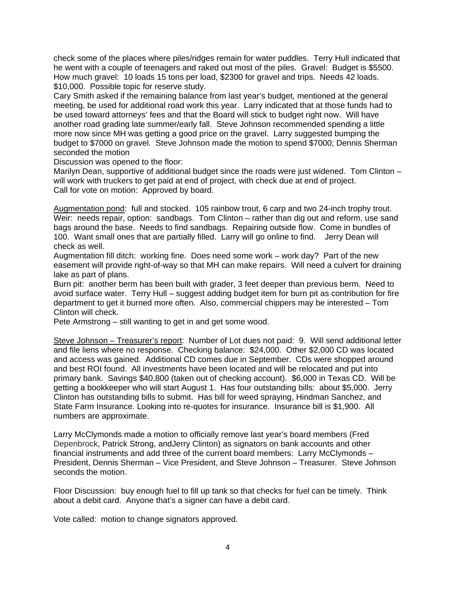check some of the places where piles/ridges remain for water puddles. Terry Hull indicated that he went with a couple of teenagers and raked out most of the piles. Gravel: Budget is \$5500. How much gravel: 10 loads 15 tons per load, \$2300 for gravel and trips. Needs 42 loads. \$10,000. Possible topic for reserve study.

Cary Smith asked if the remaining balance from last year's budget, mentioned at the general meeting, be used for additional road work this year. Larry indicated that at those funds had to be used toward attorneys' fees and that the Board will stick to budget right now. Will have another road grading late summer/early fall. Steve Johnson recommended spending a little more now since MH was getting a good price on the gravel. Larry suggested bumping the budget to \$7000 on gravel. Steve Johnson made the motion to spend \$7000; Dennis Sherman seconded the motion

Discussion was opened to the floor:

Marilyn Dean, supportive of additional budget since the roads were just widened. Tom Clinton will work with truckers to get paid at end of project, with check due at end of project. Call for vote on motion: Approved by board.

Augmentation pond: full and stocked. 105 rainbow trout, 6 carp and two 24-inch trophy trout. Weir: needs repair, option: sandbags. Tom Clinton – rather than dig out and reform, use sand bags around the base. Needs to find sandbags. Repairing outside flow. Come in bundles of 100. Want small ones that are partially filled. Larry will go online to find. Jerry Dean will check as well.

Augmentation fill ditch: working fine. Does need some work – work day? Part of the new easement will provide right-of-way so that MH can make repairs. Will need a culvert for draining lake as part of plans.

Burn pit: another berm has been built with grader, 3 feet deeper than previous berm. Need to avoid surface water. Terry Hull – suggest adding budget item for burn pit as contribution for fire department to get it burned more often. Also, commercial chippers may be interested – Tom Clinton will check.

Pete Armstrong – still wanting to get in and get some wood.

Steve Johnson - Treasurer's report: Number of Lot dues not paid: 9. Will send additional letter and file liens where no response. Checking balance: \$24,000. Other \$2,000 CD was located and access was gained. Additional CD comes due in September. CDs were shopped around and best ROI found. All investments have been located and will be relocated and put into primary bank. Savings \$40,800 (taken out of checking account). \$6,000 in Texas CD. Will be getting a bookkeeper who will start August 1. Has four outstanding bills: about \$5,000. Jerry Clinton has outstanding bills to submit. Has bill for weed spraying, Hindman Sanchez, and State Farm Insurance. Looking into re-quotes for insurance. Insurance bill is \$1,900. All numbers are approximate.

Larry McClymonds made a motion to officially remove last year's board members (Fred Depenbrock, Patrick Strong, andJerry Clinton) as signators on bank accounts and other financial instruments and add three of the current board members: Larry McClymonds – President, Dennis Sherman – Vice President, and Steve Johnson – Treasurer. Steve Johnson seconds the motion.

Floor Discussion: buy enough fuel to fill up tank so that checks for fuel can be timely. Think about a debit card. Anyone that's a signer can have a debit card.

Vote called: motion to change signators approved.